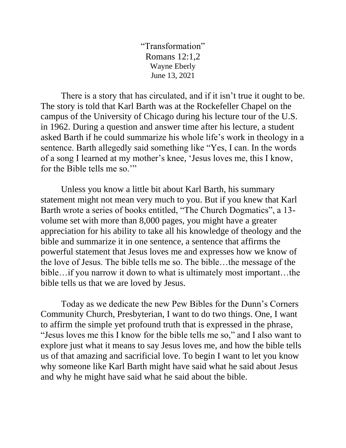"Transformation" Romans 12:1,2 Wayne Eberly June 13, 2021

There is a story that has circulated, and if it isn't true it ought to be. The story is told that Karl Barth was at the Rockefeller Chapel on the campus of the University of Chicago during his lecture tour of the U.S. in 1962. During a question and answer time after his lecture, a student asked Barth if he could summarize his whole life's work in theology in a sentence. Barth allegedly said something like "Yes, I can. In the words of a song I learned at my mother's knee, 'Jesus loves me, this I know, for the Bible tells me so.'"

Unless you know a little bit about Karl Barth, his summary statement might not mean very much to you. But if you knew that Karl Barth wrote a series of books entitled, "The Church Dogmatics", a 13 volume set with more than 8,000 pages, you might have a greater appreciation for his ability to take all his knowledge of theology and the bible and summarize it in one sentence, a sentence that affirms the powerful statement that Jesus loves me and expresses how we know of the love of Jesus. The bible tells me so. The bible…the message of the bible…if you narrow it down to what is ultimately most important…the bible tells us that we are loved by Jesus.

Today as we dedicate the new Pew Bibles for the Dunn's Corners Community Church, Presbyterian, I want to do two things. One, I want to affirm the simple yet profound truth that is expressed in the phrase, "Jesus loves me this I know for the bible tells me so," and I also want to explore just what it means to say Jesus loves me, and how the bible tells us of that amazing and sacrificial love. To begin I want to let you know why someone like Karl Barth might have said what he said about Jesus and why he might have said what he said about the bible.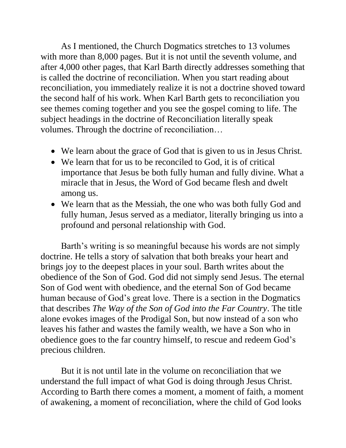As I mentioned, the Church Dogmatics stretches to 13 volumes with more than 8,000 pages. But it is not until the seventh volume, and after 4,000 other pages, that Karl Barth directly addresses something that is called the doctrine of reconciliation. When you start reading about reconciliation, you immediately realize it is not a doctrine shoved toward the second half of his work. When Karl Barth gets to reconciliation you see themes coming together and you see the gospel coming to life. The subject headings in the doctrine of Reconciliation literally speak volumes. Through the doctrine of reconciliation…

- We learn about the grace of God that is given to us in Jesus Christ.
- We learn that for us to be reconciled to God, it is of critical importance that Jesus be both fully human and fully divine. What a miracle that in Jesus, the Word of God became flesh and dwelt among us.
- We learn that as the Messiah, the one who was both fully God and fully human, Jesus served as a mediator, literally bringing us into a profound and personal relationship with God.

Barth's writing is so meaningful because his words are not simply doctrine. He tells a story of salvation that both breaks your heart and brings joy to the deepest places in your soul. Barth writes about the obedience of the Son of God. God did not simply send Jesus. The eternal Son of God went with obedience, and the eternal Son of God became human because of God's great love. There is a section in the Dogmatics that describes *The Way of the Son of God into the Far Country*. The title alone evokes images of the Prodigal Son, but now instead of a son who leaves his father and wastes the family wealth, we have a Son who in obedience goes to the far country himself, to rescue and redeem God's precious children.

But it is not until late in the volume on reconciliation that we understand the full impact of what God is doing through Jesus Christ. According to Barth there comes a moment, a moment of faith, a moment of awakening, a moment of reconciliation, where the child of God looks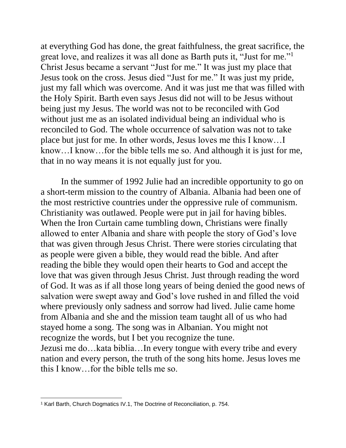at everything God has done, the great faithfulness, the great sacrifice, the great love, and realizes it was all done as Barth puts it, "Just for me."<sup>1</sup> Christ Jesus became a servant "Just for me." It was just my place that Jesus took on the cross. Jesus died "Just for me." It was just my pride, just my fall which was overcome. And it was just me that was filled with the Holy Spirit. Barth even says Jesus did not will to be Jesus without being just my Jesus. The world was not to be reconciled with God without just me as an isolated individual being an individual who is reconciled to God. The whole occurrence of salvation was not to take place but just for me. In other words, Jesus loves me this I know…I know…I know…for the bible tells me so. And although it is just for me, that in no way means it is not equally just for you.

In the summer of 1992 Julie had an incredible opportunity to go on a short-term mission to the country of Albania. Albania had been one of the most restrictive countries under the oppressive rule of communism. Christianity was outlawed. People were put in jail for having bibles. When the Iron Curtain came tumbling down, Christians were finally allowed to enter Albania and share with people the story of God's love that was given through Jesus Christ. There were stories circulating that as people were given a bible, they would read the bible. And after reading the bible they would open their hearts to God and accept the love that was given through Jesus Christ. Just through reading the word of God. It was as if all those long years of being denied the good news of salvation were swept away and God's love rushed in and filled the void where previously only sadness and sorrow had lived. Julie came home from Albania and she and the mission team taught all of us who had stayed home a song. The song was in Albanian. You might not recognize the words, but I bet you recognize the tune. Jezusi me do…kata biblia…In every tongue with every tribe and every nation and every person, the truth of the song hits home. Jesus loves me this I know…for the bible tells me so.

<sup>&</sup>lt;sup>1</sup> Karl Barth, Church Dogmatics IV.1, The Doctrine of Reconciliation, p. 754.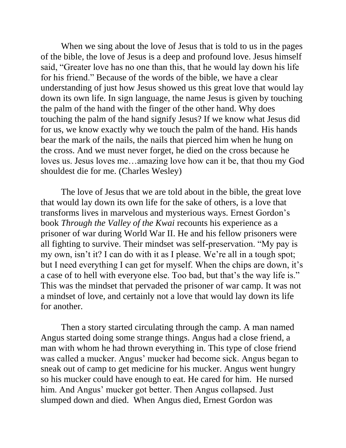When we sing about the love of Jesus that is told to us in the pages of the bible, the love of Jesus is a deep and profound love. Jesus himself said, "Greater love has no one than this, that he would lay down his life for his friend." Because of the words of the bible, we have a clear understanding of just how Jesus showed us this great love that would lay down its own life. In sign language, the name Jesus is given by touching the palm of the hand with the finger of the other hand. Why does touching the palm of the hand signify Jesus? If we know what Jesus did for us, we know exactly why we touch the palm of the hand. His hands bear the mark of the nails, the nails that pierced him when he hung on the cross. And we must never forget, he died on the cross because he loves us. Jesus loves me…amazing love how can it be, that thou my God shouldest die for me. (Charles Wesley)

The love of Jesus that we are told about in the bible, the great love that would lay down its own life for the sake of others, is a love that transforms lives in marvelous and mysterious ways. Ernest Gordon's book *Through the Valley of the Kwai* recounts his experience as a prisoner of war during World War II. He and his fellow prisoners were all fighting to survive. Their mindset was self-preservation. "My pay is my own, isn't it? I can do with it as I please. We're all in a tough spot; but I need everything I can get for myself. When the chips are down, it's a case of to hell with everyone else. Too bad, but that's the way life is." This was the mindset that pervaded the prisoner of war camp. It was not a mindset of love, and certainly not a love that would lay down its life for another.

Then a story started circulating through the camp. A man named Angus started doing some strange things. Angus had a close friend, a man with whom he had thrown everything in. This type of close friend was called a mucker. Angus' mucker had become sick. Angus began to sneak out of camp to get medicine for his mucker. Angus went hungry so his mucker could have enough to eat. He cared for him. He nursed him. And Angus' mucker got better. Then Angus collapsed. Just slumped down and died. When Angus died, Ernest Gordon was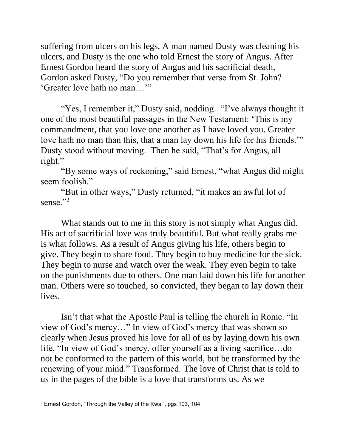suffering from ulcers on his legs. A man named Dusty was cleaning his ulcers, and Dusty is the one who told Ernest the story of Angus. After Ernest Gordon heard the story of Angus and his sacrificial death, Gordon asked Dusty, "Do you remember that verse from St. John? 'Greater love hath no man…'"

"Yes, I remember it," Dusty said, nodding. "I've always thought it one of the most beautiful passages in the New Testament: 'This is my commandment, that you love one another as I have loved you. Greater love hath no man than this, that a man lay down his life for his friends." Dusty stood without moving. Then he said, "That's for Angus, all right."

"By some ways of reckoning," said Ernest, "what Angus did might seem foolish."

"But in other ways," Dusty returned, "it makes an awful lot of sense."<sup>2</sup>

What stands out to me in this story is not simply what Angus did. His act of sacrificial love was truly beautiful. But what really grabs me is what follows. As a result of Angus giving his life, others begin to give. They begin to share food. They begin to buy medicine for the sick. They begin to nurse and watch over the weak. They even begin to take on the punishments due to others. One man laid down his life for another man. Others were so touched, so convicted, they began to lay down their lives.

Isn't that what the Apostle Paul is telling the church in Rome. "In view of God's mercy…" In view of God's mercy that was shown so clearly when Jesus proved his love for all of us by laying down his own life, "In view of God's mercy, offer yourself as a living sacrifice…do not be conformed to the pattern of this world, but be transformed by the renewing of your mind." Transformed. The love of Christ that is told to us in the pages of the bible is a love that transforms us. As we

<sup>2</sup> Ernest Gordon, "Through the Valley of the Kwai", pgs 103, 104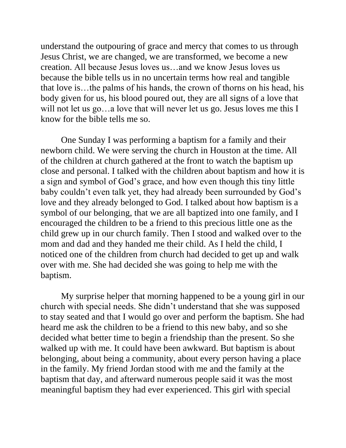understand the outpouring of grace and mercy that comes to us through Jesus Christ, we are changed, we are transformed, we become a new creation. All because Jesus loves us…and we know Jesus loves us because the bible tells us in no uncertain terms how real and tangible that love is…the palms of his hands, the crown of thorns on his head, his body given for us, his blood poured out, they are all signs of a love that will not let us go...a love that will never let us go. Jesus loves me this I know for the bible tells me so.

One Sunday I was performing a baptism for a family and their newborn child. We were serving the church in Houston at the time. All of the children at church gathered at the front to watch the baptism up close and personal. I talked with the children about baptism and how it is a sign and symbol of God's grace, and how even though this tiny little baby couldn't even talk yet, they had already been surrounded by God's love and they already belonged to God. I talked about how baptism is a symbol of our belonging, that we are all baptized into one family, and I encouraged the children to be a friend to this precious little one as the child grew up in our church family. Then I stood and walked over to the mom and dad and they handed me their child. As I held the child, I noticed one of the children from church had decided to get up and walk over with me. She had decided she was going to help me with the baptism.

My surprise helper that morning happened to be a young girl in our church with special needs. She didn't understand that she was supposed to stay seated and that I would go over and perform the baptism. She had heard me ask the children to be a friend to this new baby, and so she decided what better time to begin a friendship than the present. So she walked up with me. It could have been awkward. But baptism is about belonging, about being a community, about every person having a place in the family. My friend Jordan stood with me and the family at the baptism that day, and afterward numerous people said it was the most meaningful baptism they had ever experienced. This girl with special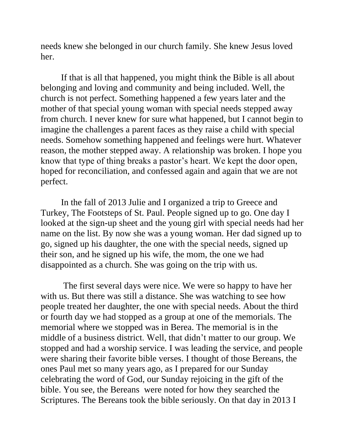needs knew she belonged in our church family. She knew Jesus loved her.

If that is all that happened, you might think the Bible is all about belonging and loving and community and being included. Well, the church is not perfect. Something happened a few years later and the mother of that special young woman with special needs stepped away from church. I never knew for sure what happened, but I cannot begin to imagine the challenges a parent faces as they raise a child with special needs. Somehow something happened and feelings were hurt. Whatever reason, the mother stepped away. A relationship was broken. I hope you know that type of thing breaks a pastor's heart. We kept the door open, hoped for reconciliation, and confessed again and again that we are not perfect.

In the fall of 2013 Julie and I organized a trip to Greece and Turkey, The Footsteps of St. Paul. People signed up to go. One day I looked at the sign-up sheet and the young girl with special needs had her name on the list. By now she was a young woman. Her dad signed up to go, signed up his daughter, the one with the special needs, signed up their son, and he signed up his wife, the mom, the one we had disappointed as a church. She was going on the trip with us.

The first several days were nice. We were so happy to have her with us. But there was still a distance. She was watching to see how people treated her daughter, the one with special needs. About the third or fourth day we had stopped as a group at one of the memorials. The memorial where we stopped was in Berea. The memorial is in the middle of a business district. Well, that didn't matter to our group. We stopped and had a worship service. I was leading the service, and people were sharing their favorite bible verses. I thought of those Bereans, the ones Paul met so many years ago, as I prepared for our Sunday celebrating the word of God, our Sunday rejoicing in the gift of the bible. You see, the Bereans were noted for how they searched the Scriptures. The Bereans took the bible seriously. On that day in 2013 I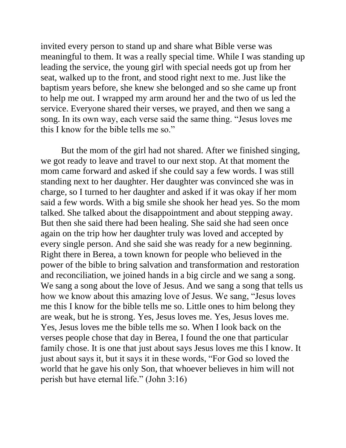invited every person to stand up and share what Bible verse was meaningful to them. It was a really special time. While I was standing up leading the service, the young girl with special needs got up from her seat, walked up to the front, and stood right next to me. Just like the baptism years before, she knew she belonged and so she came up front to help me out. I wrapped my arm around her and the two of us led the service. Everyone shared their verses, we prayed, and then we sang a song. In its own way, each verse said the same thing. "Jesus loves me this I know for the bible tells me so."

But the mom of the girl had not shared. After we finished singing, we got ready to leave and travel to our next stop. At that moment the mom came forward and asked if she could say a few words. I was still standing next to her daughter. Her daughter was convinced she was in charge, so I turned to her daughter and asked if it was okay if her mom said a few words. With a big smile she shook her head yes. So the mom talked. She talked about the disappointment and about stepping away. But then she said there had been healing. She said she had seen once again on the trip how her daughter truly was loved and accepted by every single person. And she said she was ready for a new beginning. Right there in Berea, a town known for people who believed in the power of the bible to bring salvation and transformation and restoration and reconciliation, we joined hands in a big circle and we sang a song. We sang a song about the love of Jesus. And we sang a song that tells us how we know about this amazing love of Jesus. We sang, "Jesus loves me this I know for the bible tells me so. Little ones to him belong they are weak, but he is strong. Yes, Jesus loves me. Yes, Jesus loves me. Yes, Jesus loves me the bible tells me so. When I look back on the verses people chose that day in Berea, I found the one that particular family chose. It is one that just about says Jesus loves me this I know. It just about says it, but it says it in these words, "For God so loved the world that he gave his only Son, that whoever believes in him will not perish but have eternal life." (John 3:16)